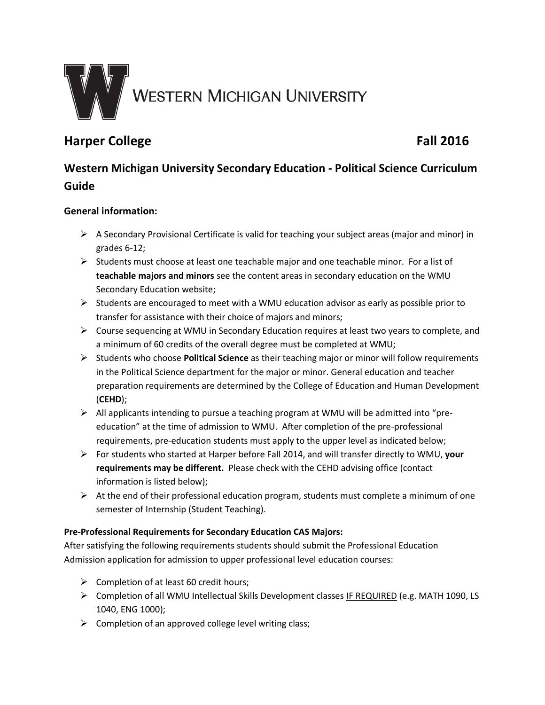

# **Harper College Fall 2016**

# **Western Michigan University Secondary Education - Political Science Curriculum Guide**

# **General information:**

- $\triangleright$  A Secondary Provisional Certificate is valid for teaching your subject areas (major and minor) in grades 6-12;
- $\triangleright$  Students must choose at least one teachable major and one teachable minor. For a list of **teachable majors and minors** see the content areas in secondary education on the WMU Secondary Education website;
- $\triangleright$  Students are encouraged to meet with a WMU education advisor as early as possible prior to transfer for assistance with their choice of majors and minors;
- $\triangleright$  Course sequencing at WMU in Secondary Education requires at least two years to complete, and a minimum of 60 credits of the overall degree must be completed at WMU;
- Students who choose **Political Science** as their teaching major or minor will follow requirements in the Political Science department for the major or minor. General education and teacher preparation requirements are determined by the College of Education and Human Development (**CEHD**);
- $\triangleright$  All applicants intending to pursue a teaching program at WMU will be admitted into "preeducation" at the time of admission to WMU. After completion of the pre-professional requirements, pre-education students must apply to the upper level as indicated below;
- For students who started at Harper before Fall 2014, and will transfer directly to WMU, **your requirements may be different.** Please check with the CEHD advising office (contact information is listed below);
- $\triangleright$  At the end of their professional education program, students must complete a minimum of one semester of Internship (Student Teaching).

## **Pre-Professional Requirements for Secondary Education CAS Majors:**

After satisfying the following requirements students should submit the Professional Education Admission application for admission to upper professional level education courses:

- $\triangleright$  Completion of at least 60 credit hours;
- Completion of all WMU Intellectual Skills Development classes IF REQUIRED (e.g. MATH 1090, LS 1040, ENG 1000);
- $\triangleright$  Completion of an approved college level writing class;